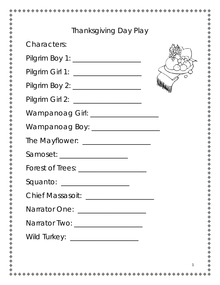| <b>Thanksgiving Day Play</b>          |  |
|---------------------------------------|--|
| <b>Characters:</b>                    |  |
|                                       |  |
|                                       |  |
|                                       |  |
| Pilgrim Girl 2: _____________________ |  |
| Wampanoag Girl: ___________________   |  |
| Wampanoag Boy: _________________      |  |
|                                       |  |
|                                       |  |
|                                       |  |
| Squanto: _________________            |  |
| Chief Massasoit: __________________   |  |
| Narrator One: ________________        |  |
| Narrator Two: _____________________   |  |
|                                       |  |
|                                       |  |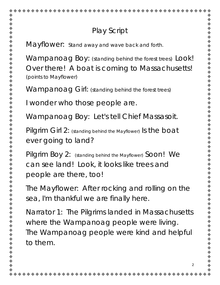## Play Script

Mayflower: *Stand away and wave back and forth.*

Wampanoag Boy: *(standing behind the forest trees)* Look! Over there! A boat is coming to Massachusetts! *(points to Mayflower)*

Wampanoag Girl: *(standing behind the forest trees)*

I wonder who those people are.

Wampanoag Boy: Let's tell Chief Massasoit.

Pilgrim Girl 2: *(standing behind the Mayflower)* Is the boat ever going to land?

Pilgrim Boy 2: *(standing behind the Mayflower)* Soon! We can see land! Look, it looks like trees and people are there, too!

The Mayflower: After rocking and rolling on the sea, I'm thankful we are finally here.

Narrator 1: The Pilgrims landed in Massachusetts where the Wampanoag people were living. The Wampanoag people were kind and helpful to them.

2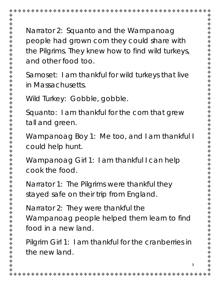Narrator 2: Squanto and the Wampanoag people had grown corn they could share with the Pilgrims. They knew how to find wild turkeys, and other food too.

Samoset: I am thankful for wild turkeys that live in Massachusetts.

Wild Turkey: Gobble, gobble.

Squanto: I am thankful for the corn that grew tall and green.

Wampanoag Boy 1: Me too, and I am thankful I could help hunt.

Wampanoag Girl 1: I am thankful I can help cook the food.

Narrator 1: The Pilgrims were thankful they stayed safe on their trip from England.

Narrator 2: They were thankful the Wampanoag people helped them learn to find food in a new land.

Pilgrim Girl 1: I am thankful for the cranberries in the new land.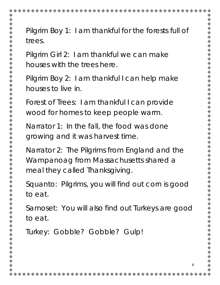

Pilgrim Boy 1: I am thankful for the forests full of

Pilgrim Girl 2: I am thankful we can make houses with the trees here.

Pilgrim Boy 2: I am thankful I can help make houses to live in.

Forest of Trees: I am thankful I can provide wood for homes to keep people warm.

Narrator 1: In the fall, the food was done growing and it was harvest time.

Narrator 2: The Pilgrims from England and the Wampanoag from Massachusetts shared a meal they called Thanksgiving.

Squanto: Pilgrims, you will find out corn is good

Samoset: You will also find out Turkeys are good

4

Turkey: Gobble? Gobble? Gulp!